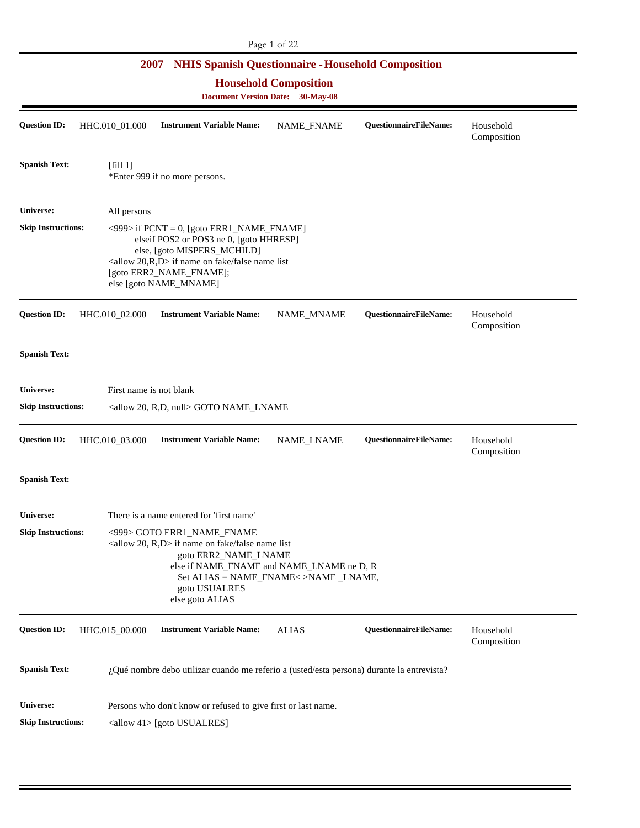## **Household Composition**

| <b>Question ID:</b>       | HHC.010_01.000                                                                                                                                                                                                                                           | <b>Instrument Variable Name:</b>                                                          | NAME_FNAME   | QuestionnaireFileName:        | Household<br>Composition |  |  |
|---------------------------|----------------------------------------------------------------------------------------------------------------------------------------------------------------------------------------------------------------------------------------------------------|-------------------------------------------------------------------------------------------|--------------|-------------------------------|--------------------------|--|--|
| <b>Spanish Text:</b>      | [fill 1]                                                                                                                                                                                                                                                 | *Enter 999 if no more persons.                                                            |              |                               |                          |  |  |
| Universe:                 | All persons                                                                                                                                                                                                                                              |                                                                                           |              |                               |                          |  |  |
| <b>Skip Instructions:</b> | $\langle$ 999> if PCNT = 0, [goto ERR1_NAME_FNAME]<br>elseif POS2 or POS3 ne 0, [goto HHRESP]<br>else, [goto MISPERS_MCHILD]<br><allow 20,="" d="" r,=""> if name on fake/false name list<br/>[goto ERR2_NAME_FNAME];<br/>else [goto NAME_MNAME]</allow> |                                                                                           |              |                               |                          |  |  |
| <b>Question ID:</b>       | HHC.010_02.000                                                                                                                                                                                                                                           | <b>Instrument Variable Name:</b>                                                          | NAME_MNAME   | QuestionnaireFileName:        | Household<br>Composition |  |  |
| <b>Spanish Text:</b>      |                                                                                                                                                                                                                                                          |                                                                                           |              |                               |                          |  |  |
| <b>Universe:</b>          | First name is not blank                                                                                                                                                                                                                                  |                                                                                           |              |                               |                          |  |  |
| <b>Skip Instructions:</b> |                                                                                                                                                                                                                                                          | <allow 20,="" null="" r,d,=""> GOTO NAME_LNAME</allow>                                    |              |                               |                          |  |  |
| <b>Question ID:</b>       | HHC.010_03.000                                                                                                                                                                                                                                           | <b>Instrument Variable Name:</b>                                                          | NAME_LNAME   | QuestionnaireFileName:        | Household<br>Composition |  |  |
| <b>Spanish Text:</b>      |                                                                                                                                                                                                                                                          |                                                                                           |              |                               |                          |  |  |
| <b>Universe:</b>          |                                                                                                                                                                                                                                                          | There is a name entered for 'first name'                                                  |              |                               |                          |  |  |
| <b>Skip Instructions:</b> | <999> GOTO ERR1_NAME_FNAME<br><allow 20,="" r,d=""> if name on fake/false name list<br/>goto ERR2_NAME_LNAME<br/>else if NAME_FNAME and NAME_LNAME ne D, R<br/>Set ALIAS = NAME_FNAME&lt;&gt;NAME _LNAME,<br/>goto USUALRES<br/>else goto ALIAS</allow>  |                                                                                           |              |                               |                          |  |  |
| <b>Question ID:</b>       | HHC.015_00.000                                                                                                                                                                                                                                           | <b>Instrument Variable Name:</b>                                                          | <b>ALIAS</b> | <b>QuestionnaireFileName:</b> | Household<br>Composition |  |  |
| <b>Spanish Text:</b>      |                                                                                                                                                                                                                                                          | ¿Qué nombre debo utilizar cuando me referio a (usted/esta persona) durante la entrevista? |              |                               |                          |  |  |
| <b>Universe:</b>          |                                                                                                                                                                                                                                                          | Persons who don't know or refused to give first or last name.                             |              |                               |                          |  |  |
| <b>Skip Instructions:</b> |                                                                                                                                                                                                                                                          | <allow 41=""> [goto USUALRES]</allow>                                                     |              |                               |                          |  |  |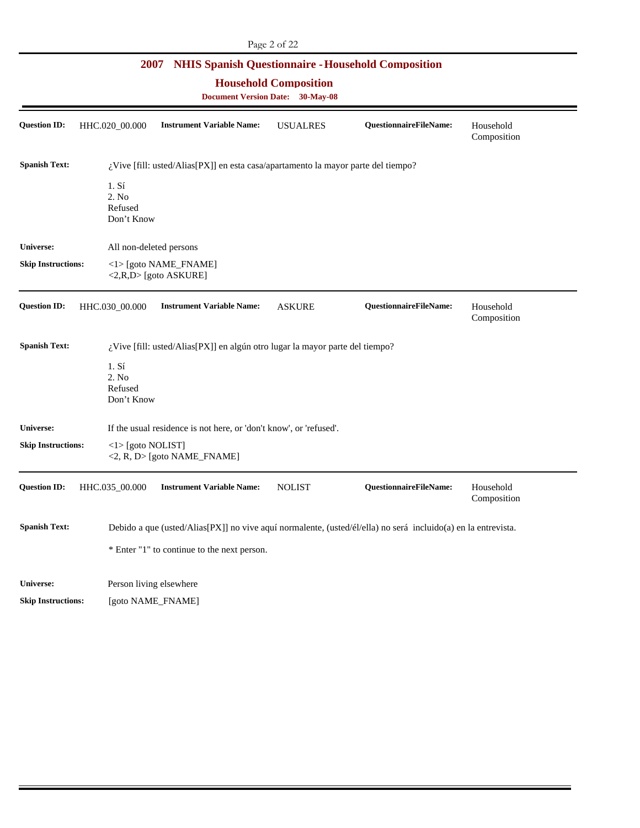#### **Household Composition**

| <b>Question ID:</b>       | HHC.020_00.000             |                            | <b>Instrument Variable Name:</b>                                                  | <b>USUALRES</b> | <b>QuestionnaireFileName:</b>                                                                                 | Household<br>Composition |
|---------------------------|----------------------------|----------------------------|-----------------------------------------------------------------------------------|-----------------|---------------------------------------------------------------------------------------------------------------|--------------------------|
| <b>Spanish Text:</b>      |                            |                            | ¿Vive [fill: usted/Alias[PX]] en esta casa/apartamento la mayor parte del tiempo? |                 |                                                                                                               |                          |
|                           | 1. S <sub>i</sub><br>2. No | Refused<br>Don't Know      |                                                                                   |                 |                                                                                                               |                          |
| <b>Universe:</b>          |                            |                            | All non-deleted persons                                                           |                 |                                                                                                               |                          |
| <b>Skip Instructions:</b> |                            |                            | <1>[goto NAME_FNAME]<br><2,R,D> [goto ASKURE]                                     |                 |                                                                                                               |                          |
| <b>Question ID:</b>       | HHC.030_00.000             |                            | <b>Instrument Variable Name:</b>                                                  | <b>ASKURE</b>   | QuestionnaireFileName:                                                                                        | Household<br>Composition |
| <b>Spanish Text:</b>      |                            |                            | ¿Vive [fill: usted/Alias[PX]] en algún otro lugar la mayor parte del tiempo?      |                 |                                                                                                               |                          |
|                           | 1. Sí<br>2. No             | Refused<br>Don't Know      |                                                                                   |                 |                                                                                                               |                          |
| Universe:                 |                            |                            | If the usual residence is not here, or 'don't know', or 'refused'.                |                 |                                                                                                               |                          |
| <b>Skip Instructions:</b> |                            | $\langle$ 1> [goto NOLIST] | <2, R, D> [goto NAME_FNAME]                                                       |                 |                                                                                                               |                          |
| <b>Question ID:</b>       | HHC.035_00.000             |                            | <b>Instrument Variable Name:</b>                                                  | <b>NOLIST</b>   | <b>QuestionnaireFileName:</b>                                                                                 | Household<br>Composition |
| <b>Spanish Text:</b>      |                            |                            |                                                                                   |                 | Debido a que (usted/Alias[PX]] no vive aquí normalente, (usted/él/ella) no será incluido(a) en la entrevista. |                          |
|                           |                            |                            | * Enter "1" to continue to the next person.                                       |                 |                                                                                                               |                          |
| <b>Universe:</b>          |                            |                            | Person living elsewhere                                                           |                 |                                                                                                               |                          |
| <b>Skip Instructions:</b> |                            |                            | [goto NAME_FNAME]                                                                 |                 |                                                                                                               |                          |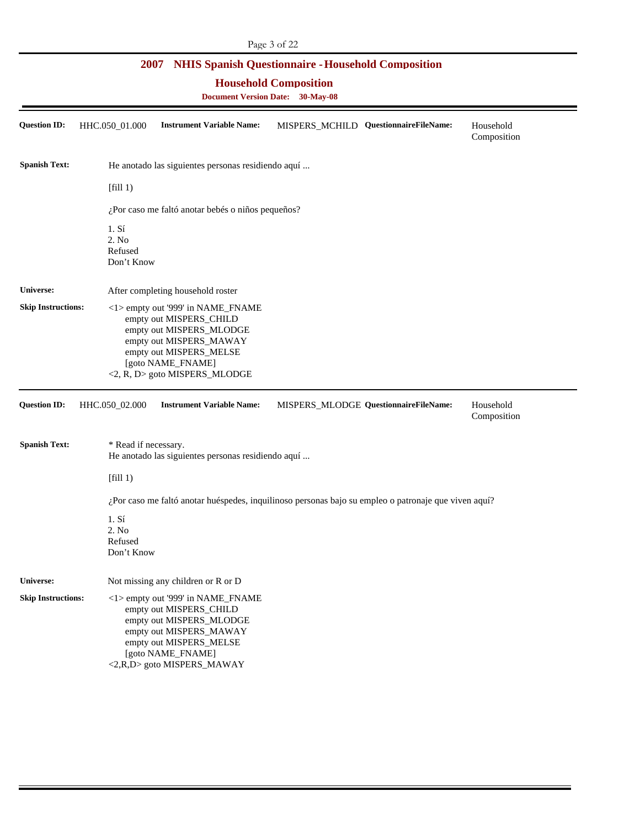#### **Household Composition**

| <b>Question ID:</b>       | HHC.050_01.000                                                                                                                                                                                       | <b>Instrument Variable Name:</b>                                                                                                                                                                  |  | MISPERS_MCHILD QuestionnaireFileName: | Household<br>Composition |  |
|---------------------------|------------------------------------------------------------------------------------------------------------------------------------------------------------------------------------------------------|---------------------------------------------------------------------------------------------------------------------------------------------------------------------------------------------------|--|---------------------------------------|--------------------------|--|
| <b>Spanish Text:</b>      |                                                                                                                                                                                                      | He anotado las siguientes personas residiendo aquí                                                                                                                                                |  |                                       |                          |  |
|                           | [fill 1)                                                                                                                                                                                             |                                                                                                                                                                                                   |  |                                       |                          |  |
|                           |                                                                                                                                                                                                      | ¿Por caso me faltó anotar bebés o niños pequeños?                                                                                                                                                 |  |                                       |                          |  |
|                           | 1. S <sub>i</sub><br>2. No<br>Refused<br>Don't Know                                                                                                                                                  |                                                                                                                                                                                                   |  |                                       |                          |  |
| Universe:                 |                                                                                                                                                                                                      | After completing household roster                                                                                                                                                                 |  |                                       |                          |  |
| <b>Skip Instructions:</b> | <1> empty out '999' in NAME_FNAME<br>empty out MISPERS_CHILD<br>empty out MISPERS_MLODGE<br>empty out MISPERS_MAWAY<br>empty out MISPERS_MELSE<br>[goto NAME_FNAME]<br><2, R, D> goto MISPERS_MLODGE |                                                                                                                                                                                                   |  |                                       |                          |  |
| <b>Question ID:</b>       | HHC.050_02.000                                                                                                                                                                                       | <b>Instrument Variable Name:</b>                                                                                                                                                                  |  | MISPERS_MLODGE QuestionnaireFileName: | Household<br>Composition |  |
| <b>Spanish Text:</b>      | * Read if necessary.                                                                                                                                                                                 | He anotado las siguientes personas residiendo aquí                                                                                                                                                |  |                                       |                          |  |
|                           | [fill 1)                                                                                                                                                                                             |                                                                                                                                                                                                   |  |                                       |                          |  |
|                           |                                                                                                                                                                                                      | ¿Por caso me faltó anotar huéspedes, inquilinoso personas bajo su empleo o patronaje que viven aquí?                                                                                              |  |                                       |                          |  |
|                           | 1. S <sub>1</sub><br>2. No<br>Refused<br>Don't Know                                                                                                                                                  |                                                                                                                                                                                                   |  |                                       |                          |  |
| Universe:                 |                                                                                                                                                                                                      | Not missing any children or R or D                                                                                                                                                                |  |                                       |                          |  |
| <b>Skip Instructions:</b> |                                                                                                                                                                                                      | <1> empty out '999' in NAME_FNAME<br>empty out MISPERS_CHILD<br>empty out MISPERS_MLODGE<br>empty out MISPERS_MAWAY<br>empty out MISPERS_MELSE<br>[goto NAME_FNAME]<br><2,R,D> goto MISPERS_MAWAY |  |                                       |                          |  |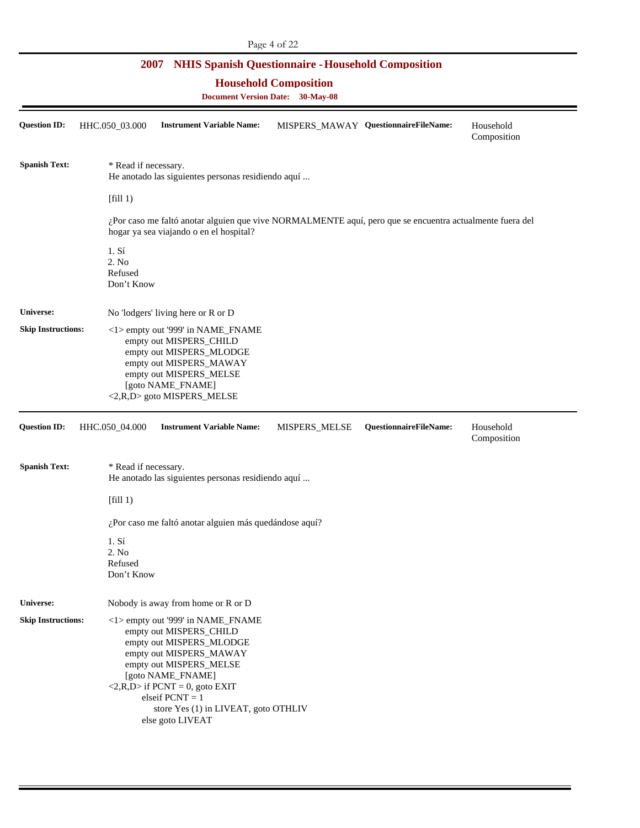#### **Household Composition**

| <b>Question ID:</b>       | HHC.050_03.000                                      | <b>Instrument Variable Name:</b>                                                                                                                                                                                                                                                                       |               | MISPERS_MAWAY QuestionnaireFileName: | Household<br>Composition |
|---------------------------|-----------------------------------------------------|--------------------------------------------------------------------------------------------------------------------------------------------------------------------------------------------------------------------------------------------------------------------------------------------------------|---------------|--------------------------------------|--------------------------|
| <b>Spanish Text:</b>      | * Read if necessary.                                | He anotado las siguientes personas residiendo aquí                                                                                                                                                                                                                                                     |               |                                      |                          |
|                           | [fill 1)                                            |                                                                                                                                                                                                                                                                                                        |               |                                      |                          |
|                           |                                                     | ¿Por caso me faltó anotar alguien que vive NORMALMENTE aquí, pero que se encuentra actualmente fuera del<br>hogar ya sea viajando o en el hospital?                                                                                                                                                    |               |                                      |                          |
|                           | 1. S <sub>i</sub><br>2. No<br>Refused<br>Don't Know |                                                                                                                                                                                                                                                                                                        |               |                                      |                          |
| <b>Universe:</b>          |                                                     | No 'lodgers' living here or R or D                                                                                                                                                                                                                                                                     |               |                                      |                          |
| <b>Skip Instructions:</b> |                                                     | <1> empty out '999' in NAME_FNAME<br>empty out MISPERS_CHILD<br>empty out MISPERS_MLODGE<br>empty out MISPERS_MAWAY<br>empty out MISPERS_MELSE<br>[goto NAME_FNAME]<br><2,R,D> goto MISPERS_MELSE                                                                                                      |               |                                      |                          |
| <b>Question ID:</b>       | HHC.050_04.000                                      | <b>Instrument Variable Name:</b>                                                                                                                                                                                                                                                                       | MISPERS_MELSE | QuestionnaireFileName:               | Household<br>Composition |
| <b>Spanish Text:</b>      | * Read if necessary.                                | He anotado las siguientes personas residiendo aquí                                                                                                                                                                                                                                                     |               |                                      |                          |
|                           | [fill 1)                                            |                                                                                                                                                                                                                                                                                                        |               |                                      |                          |
|                           |                                                     | ¿Por caso me faltó anotar alguien más quedándose aquí?                                                                                                                                                                                                                                                 |               |                                      |                          |
|                           | 1. S <sub>i</sub><br>2. No<br>Refused<br>Don't Know |                                                                                                                                                                                                                                                                                                        |               |                                      |                          |
| <b>Universe:</b>          |                                                     | Nobody is away from home or R or D                                                                                                                                                                                                                                                                     |               |                                      |                          |
| <b>Skip Instructions:</b> |                                                     | <1> empty out '999' in NAME_FNAME<br>empty out MISPERS_CHILD<br>empty out MISPERS_MLODGE<br>empty out MISPERS_MAWAY<br>empty out MISPERS_MELSE<br>[goto NAME_FNAME]<br>$\langle 2,R,D \rangle$ if PCNT = 0, goto EXIT<br>elseif $PCNT = 1$<br>store Yes (1) in LIVEAT, goto OTHLIV<br>else goto LIVEAT |               |                                      |                          |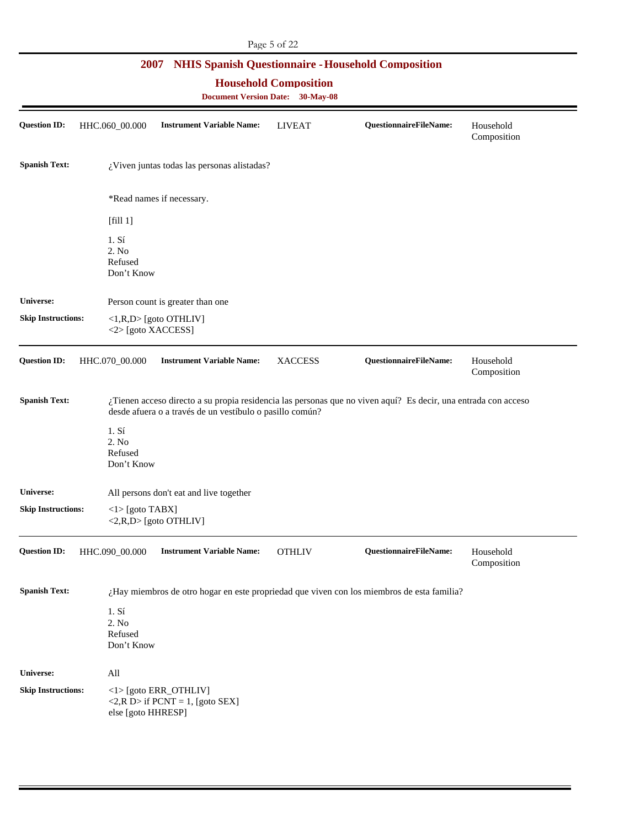|                                                                                                                                              |                                                     |                                                                          | Page 5 of 22   |                                                                                                                |                          |  |  |
|----------------------------------------------------------------------------------------------------------------------------------------------|-----------------------------------------------------|--------------------------------------------------------------------------|----------------|----------------------------------------------------------------------------------------------------------------|--------------------------|--|--|
| <b>NHIS Spanish Questionnaire - Household Composition</b><br>2007<br><b>Household Composition</b><br><b>Document Version Date: 30-May-08</b> |                                                     |                                                                          |                |                                                                                                                |                          |  |  |
| <b>Question ID:</b>                                                                                                                          | HHC.060_00.000                                      | <b>Instrument Variable Name:</b>                                         | <b>LIVEAT</b>  | QuestionnaireFileName:                                                                                         | Household<br>Composition |  |  |
| <b>Spanish Text:</b>                                                                                                                         |                                                     | ¿Viven juntas todas las personas alistadas?                              |                |                                                                                                                |                          |  |  |
|                                                                                                                                              |                                                     | *Read names if necessary.                                                |                |                                                                                                                |                          |  |  |
|                                                                                                                                              | [fill 1]                                            |                                                                          |                |                                                                                                                |                          |  |  |
|                                                                                                                                              | 1. S <sub>i</sub><br>2. No<br>Refused<br>Don't Know |                                                                          |                |                                                                                                                |                          |  |  |
| Universe:                                                                                                                                    |                                                     | Person count is greater than one                                         |                |                                                                                                                |                          |  |  |
| <b>Skip Instructions:</b>                                                                                                                    | <2>[goto XACCESS]                                   | $\langle 1,R,D \rangle$ [goto OTHLIV]                                    |                |                                                                                                                |                          |  |  |
| <b>Question ID:</b>                                                                                                                          | HHC.070_00.000                                      | <b>Instrument Variable Name:</b>                                         | <b>XACCESS</b> | QuestionnaireFileName:                                                                                         | Household<br>Composition |  |  |
| <b>Spanish Text:</b>                                                                                                                         |                                                     | desde afuera o a través de un vestíbulo o pasillo común?                 |                | ¿Tienen acceso directo a su propia residencia las personas que no viven aquí? Es decir, una entrada con acceso |                          |  |  |
|                                                                                                                                              | 1. S <sub>i</sub><br>2. No<br>Refused<br>Don't Know |                                                                          |                |                                                                                                                |                          |  |  |
| Universe:                                                                                                                                    |                                                     | All persons don't eat and live together                                  |                |                                                                                                                |                          |  |  |
| <b>Skip Instructions:</b>                                                                                                                    | $<$ l $>$ [goto TABX]                               | $\langle 2,R,D \rangle$ [goto OTHLIV]                                    |                |                                                                                                                |                          |  |  |
| <b>Question ID:</b>                                                                                                                          | HHC.090_00.000                                      | <b>Instrument Variable Name:</b>                                         | <b>OTHLIV</b>  | QuestionnaireFileName:                                                                                         | Household<br>Composition |  |  |
| <b>Spanish Text:</b>                                                                                                                         |                                                     |                                                                          |                | ¿Hay miembros de otro hogar en este propriedad que viven con los miembros de esta familia?                     |                          |  |  |
|                                                                                                                                              | 1. S <sub>i</sub><br>2. No<br>Refused<br>Don't Know |                                                                          |                |                                                                                                                |                          |  |  |
| <b>Universe:</b>                                                                                                                             | All                                                 |                                                                          |                |                                                                                                                |                          |  |  |
| <b>Skip Instructions:</b>                                                                                                                    | else [goto HHRESP]                                  | <1>[goto ERR_OTHLIV]<br>$\langle 2, R D \rangle$ if PCNT = 1, [goto SEX] |                |                                                                                                                |                          |  |  |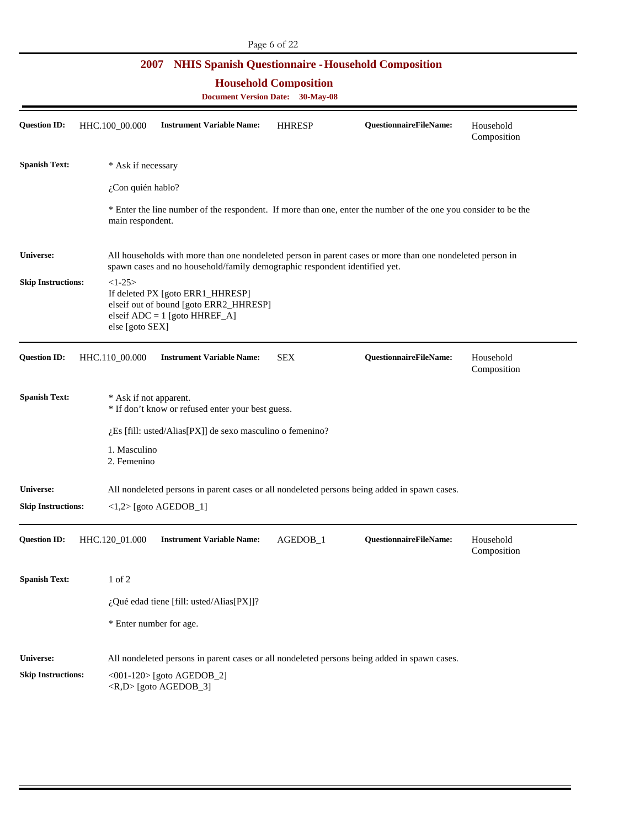# \* Enter the line number of the respondent. If more than one, enter the number of the one you consider to be the **Universe:** All households with more than one nondeleted person in parent cases or more than one nondeleted person in **2007 NHIS Spanish Questionnaire - Household Composition Household Composition Document Version Date: 30-May-08 Question ID:** HHC.100\_00.000 **Instrument Variable Name:** HHRESP **QuestionnaireFileName:** Household Composition **Spanish Text:** \* Ask if necessary ¿Con quién hablo? main respondent. spawn cases and no household/family demographic respondent identified yet. **Skip Instructions:**  $\langle 1-25 \rangle$ If deleted PX [goto ERR1\_HHRESP] elseif out of bound [goto ERR2\_HHRESP] elseif ADC = 1 [goto HHREF\_A] else [goto SEX] **Question ID:** HHC.110\_00.000 **Instrument Variable Name:** SEX **QuestionnaireFileName:** Household Composition **Spanish Text:**  $*$  Ask if not apparent. \* If don't know or refused enter your best guess. ¿Es [fill: usted/Alias[PX]] de sexo masculino o femenino? 1. Masculino 2. Femenino **Skip Instructions: Universe:**  <1,2> [goto AGEDOB\_1] All nondeleted persons in parent cases or all nondeleted persons being added in spawn cases. **Question ID:** HHC.120\_01.000 **Instrument Variable Name:** AGEDOB\_1 **QuestionnaireFileName:** Household Composition **Spanish Text:** 1 of 2 ¿Qué edad tiene [fill: usted/Alias[PX]]? \* Enter number for age.

#### **Skip Instructions: Universe:**  <001-120> [goto AGEDOB\_2] <R,D> [goto AGEDOB\_3] All nondeleted persons in parent cases or all nondeleted persons being added in spawn cases.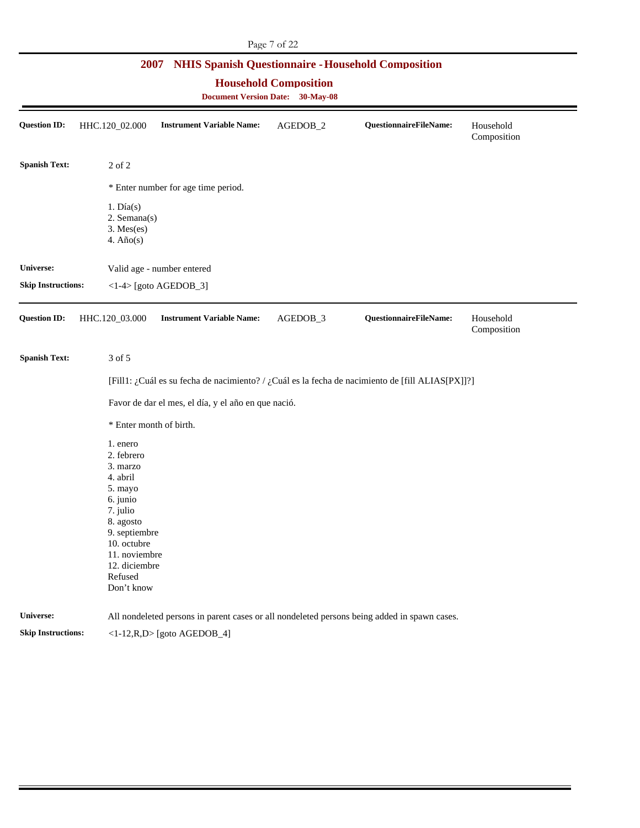| <b>NHIS Spanish Questionnaire - Household Composition</b><br>2007<br><b>Household Composition</b><br><b>Document Version Date: 30-May-08</b> |                                                                                                                                                                                           |                                                     |          |                                                                                                  |                          |  |  |  |
|----------------------------------------------------------------------------------------------------------------------------------------------|-------------------------------------------------------------------------------------------------------------------------------------------------------------------------------------------|-----------------------------------------------------|----------|--------------------------------------------------------------------------------------------------|--------------------------|--|--|--|
| <b>Question ID:</b>                                                                                                                          | HHC.120_02.000                                                                                                                                                                            | <b>Instrument Variable Name:</b>                    | AGEDOB_2 | QuestionnaireFileName:                                                                           | Household<br>Composition |  |  |  |
| <b>Spanish Text:</b>                                                                                                                         | 2 of 2                                                                                                                                                                                    |                                                     |          |                                                                                                  |                          |  |  |  |
|                                                                                                                                              |                                                                                                                                                                                           | * Enter number for age time period.                 |          |                                                                                                  |                          |  |  |  |
|                                                                                                                                              | $1. \text{Día}(s)$<br>2. Semana(s)<br>$3.$ Mes $(es)$<br>4. $A\tilde{n}o(s)$                                                                                                              |                                                     |          |                                                                                                  |                          |  |  |  |
| Universe:                                                                                                                                    |                                                                                                                                                                                           | Valid age - number entered                          |          |                                                                                                  |                          |  |  |  |
| <b>Skip Instructions:</b>                                                                                                                    |                                                                                                                                                                                           | $\langle$ 1-4> [goto AGEDOB_3]                      |          |                                                                                                  |                          |  |  |  |
| <b>Question ID:</b>                                                                                                                          | HHC.120_03.000                                                                                                                                                                            | <b>Instrument Variable Name:</b>                    | AGEDOB_3 | QuestionnaireFileName:                                                                           | Household<br>Composition |  |  |  |
| <b>Spanish Text:</b>                                                                                                                         | 3 of 5                                                                                                                                                                                    |                                                     |          |                                                                                                  |                          |  |  |  |
|                                                                                                                                              |                                                                                                                                                                                           |                                                     |          | [Fill1: ¿Cuál es su fecha de nacimiento? / ¿Cuál es la fecha de nacimiento de [fill ALIAS[PX]]?] |                          |  |  |  |
|                                                                                                                                              |                                                                                                                                                                                           | Favor de dar el mes, el día, y el año en que nació. |          |                                                                                                  |                          |  |  |  |
|                                                                                                                                              | * Enter month of birth.                                                                                                                                                                   |                                                     |          |                                                                                                  |                          |  |  |  |
|                                                                                                                                              | 1. enero<br>2. febrero<br>3. marzo<br>4. abril<br>5. mayo<br>6. junio<br>7. julio<br>8. agosto<br>9. septiembre<br>10. octubre<br>11. noviembre<br>12. diciembre<br>Refused<br>Don't know |                                                     |          |                                                                                                  |                          |  |  |  |
| Universe:                                                                                                                                    |                                                                                                                                                                                           |                                                     |          | All nondeleted persons in parent cases or all nondeleted persons being added in spawn cases.     |                          |  |  |  |
| <b>Skip Instructions:</b>                                                                                                                    |                                                                                                                                                                                           | $<1-12, R, D>$ [goto AGEDOB_4]                      |          |                                                                                                  |                          |  |  |  |

Page 7 of 22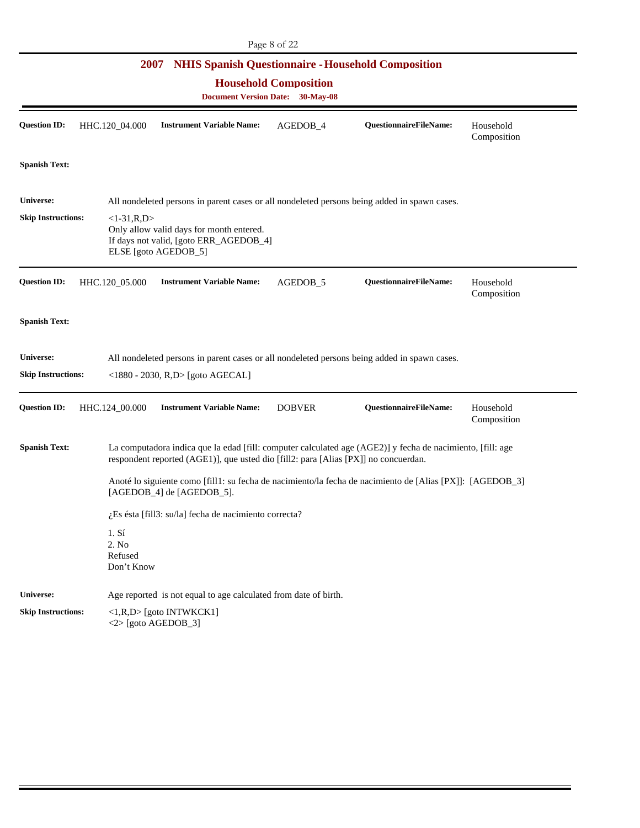| Page 8 of 22 |  |  |  |
|--------------|--|--|--|
|--------------|--|--|--|

|                                        | 2007                                                                       |                                                                                                            |               | <b>NHIS Spanish Questionnaire - Household Composition</b>                                                  |                          |  |  |  |
|----------------------------------------|----------------------------------------------------------------------------|------------------------------------------------------------------------------------------------------------|---------------|------------------------------------------------------------------------------------------------------------|--------------------------|--|--|--|
|                                        | <b>Household Composition</b><br><b>Document Version Date:</b><br>30-May-08 |                                                                                                            |               |                                                                                                            |                          |  |  |  |
| <b>Question ID:</b>                    | HHC.120_04.000                                                             | <b>Instrument Variable Name:</b>                                                                           | AGEDOB_4      | QuestionnaireFileName:                                                                                     | Household<br>Composition |  |  |  |
| <b>Spanish Text:</b>                   |                                                                            |                                                                                                            |               |                                                                                                            |                          |  |  |  |
| Universe:                              |                                                                            |                                                                                                            |               | All nondeleted persons in parent cases or all nondeleted persons being added in spawn cases.               |                          |  |  |  |
| <b>Skip Instructions:</b>              | $<1-31, R, D>$                                                             | Only allow valid days for month entered.<br>If days not valid, [goto ERR_AGEDOB_4]<br>ELSE [goto AGEDOB_5] |               |                                                                                                            |                          |  |  |  |
| <b>Question ID:</b>                    | HHC.120_05.000                                                             | <b>Instrument Variable Name:</b>                                                                           | AGEDOB_5      | QuestionnaireFileName:                                                                                     | Household<br>Composition |  |  |  |
| <b>Spanish Text:</b>                   |                                                                            |                                                                                                            |               |                                                                                                            |                          |  |  |  |
| Universe:<br><b>Skip Instructions:</b> |                                                                            | <1880 - 2030, R,D> [goto AGECAL]                                                                           |               | All nondeleted persons in parent cases or all nondeleted persons being added in spawn cases.               |                          |  |  |  |
| <b>Question ID:</b>                    | HHC.124_00.000                                                             | <b>Instrument Variable Name:</b>                                                                           | <b>DOBVER</b> | QuestionnaireFileName:                                                                                     | Household<br>Composition |  |  |  |
| <b>Spanish Text:</b>                   |                                                                            | respondent reported (AGE1)], que usted dio [fill2: para [Alias [PX]] no concuerdan.                        |               | La computadora indica que la edad [fill: computer calculated age (AGE2)] y fecha de nacimiento, [fill: age |                          |  |  |  |
|                                        |                                                                            | [AGEDOB_4] de [AGEDOB_5].                                                                                  |               | Anoté lo siguiente como [fill1: su fecha de nacimiento/la fecha de nacimiento de [Alias [PX]]: [AGEDOB_3]  |                          |  |  |  |
|                                        |                                                                            | $i$ Es ésta [fill3: su/la] fecha de nacimiento correcta?                                                   |               |                                                                                                            |                          |  |  |  |
|                                        | 1. S <sub>i</sub><br>2. No<br>Refused<br>Don't Know                        |                                                                                                            |               |                                                                                                            |                          |  |  |  |
| Universe:                              |                                                                            | Age reported is not equal to age calculated from date of birth.                                            |               |                                                                                                            |                          |  |  |  |
| <b>Skip Instructions:</b>              |                                                                            | $\langle 1,R,D \rangle$ [goto INTWKCK1]<br>$<$ 2> [goto AGEDOB_3]                                          |               |                                                                                                            |                          |  |  |  |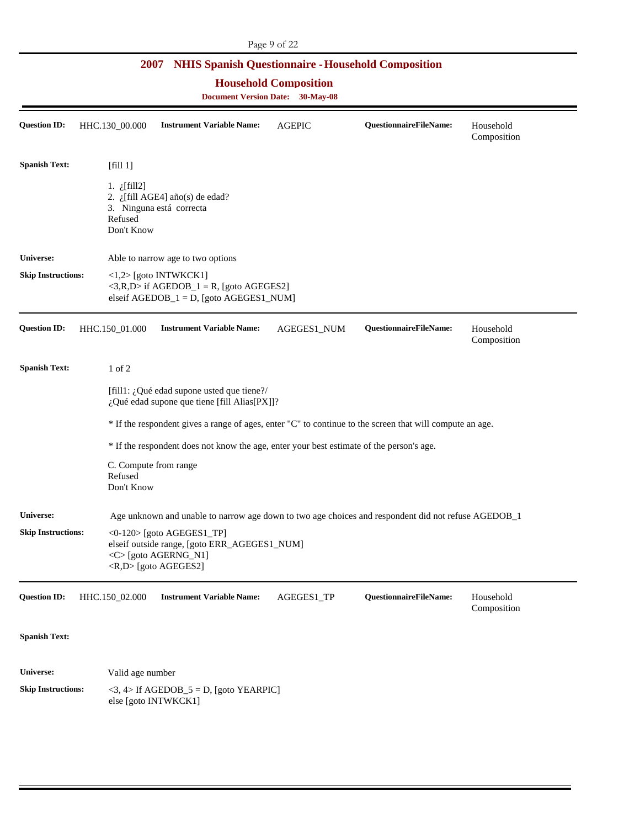| <b>Household Composition</b><br><b>Document Version Date: 30-May-08</b> |                                                |                                                                                                                                                   |               |                               |                          |  |  |  |
|-------------------------------------------------------------------------|------------------------------------------------|---------------------------------------------------------------------------------------------------------------------------------------------------|---------------|-------------------------------|--------------------------|--|--|--|
| <b>Question ID:</b>                                                     | HHC.130_00.000                                 | <b>Instrument Variable Name:</b>                                                                                                                  | <b>AGEPIC</b> | <b>QuestionnaireFileName:</b> | Household<br>Composition |  |  |  |
| <b>Spanish Text:</b>                                                    | [fill 1]                                       |                                                                                                                                                   |               |                               |                          |  |  |  |
|                                                                         | 1. $i$ [fill2]<br>Refused<br>Don't Know        | 2. ¿[fill AGE4] año(s) de edad?<br>3. Ninguna está correcta                                                                                       |               |                               |                          |  |  |  |
| <b>Universe:</b>                                                        |                                                | Able to narrow age to two options                                                                                                                 |               |                               |                          |  |  |  |
| <b>Skip Instructions:</b>                                               |                                                | $\langle 1,2 \rangle$ [goto INTWKCK1]<br>$\langle 3,R,D \rangle$ if AGEDOB_1 = R, [goto AGEGES2]<br>elseif $AGEDOB_1 = D$ , [goto $AGEGES1_NUM$ ] |               |                               |                          |  |  |  |
| Question ID:                                                            | HHC.150 01.000                                 | <b>Instrument Variable Name:</b>                                                                                                                  | AGEGES1_NUM   | QuestionnaireFileName:        | Household<br>Composition |  |  |  |
|                                                                         |                                                |                                                                                                                                                   |               |                               |                          |  |  |  |
| <b>Spanish Text:</b>                                                    | $1$ of $2$                                     |                                                                                                                                                   |               |                               |                          |  |  |  |
|                                                                         |                                                | [fill1: $\lambda$ , Qué edad supone usted que tiene?/<br>¿Qué edad supone que tiene [fill Alias[PX]]?                                             |               |                               |                          |  |  |  |
|                                                                         |                                                | * If the respondent gives a range of ages, enter "C" to continue to the screen that will compute an age.                                          |               |                               |                          |  |  |  |
|                                                                         |                                                | * If the respondent does not know the age, enter your best estimate of the person's age.                                                          |               |                               |                          |  |  |  |
|                                                                         | C. Compute from range<br>Refused<br>Don't Know |                                                                                                                                                   |               |                               |                          |  |  |  |
| <b>Universe:</b>                                                        |                                                | Age unknown and unable to narrow age down to two age choices and respondent did not refuse AGEDOB_1                                               |               |                               |                          |  |  |  |
| <b>Skip Instructions:</b>                                               |                                                | <0-120> [goto AGEGES1_TP]<br>elseif outside range, [goto ERR_AGEGES1_NUM]<br><c>[goto AGERNG_N1]<br/><r,d>[goto AGEGES2]</r,d></c>                |               |                               |                          |  |  |  |

### **Spanish Text:**

**Skip Instructions: Universe:**   $<$ 3, 4> If AGEDOB\_5 = D, [goto YEARPIC] else [goto INTWKCK1] Valid age number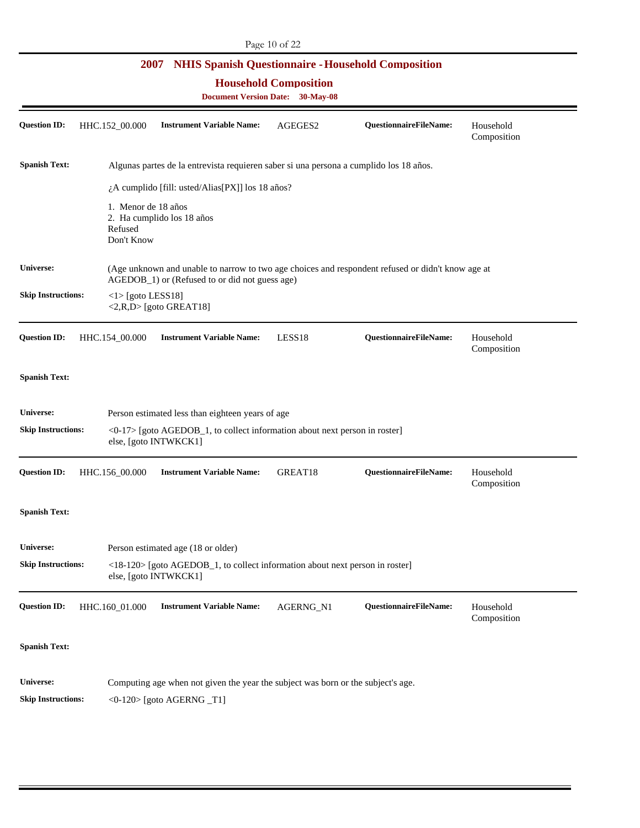**Household Composition** 

| <b>Question ID:</b>       | HHC.152_00.000                               | <b>Instrument Variable Name:</b>                                                                                      | AGEGES2   | QuestionnaireFileName:                                                                            | Household<br>Composition |
|---------------------------|----------------------------------------------|-----------------------------------------------------------------------------------------------------------------------|-----------|---------------------------------------------------------------------------------------------------|--------------------------|
| <b>Spanish Text:</b>      |                                              | Algunas partes de la entrevista requieren saber si una persona a cumplido los 18 años.                                |           |                                                                                                   |                          |
|                           |                                              | ¿A cumplido [fill: usted/Alias[PX]] los 18 años?                                                                      |           |                                                                                                   |                          |
|                           | 1. Menor de 18 años<br>Refused<br>Don't Know | 2. Ha cumplido los 18 años                                                                                            |           |                                                                                                   |                          |
| Universe:                 |                                              | AGEDOB <sub>_1</sub> ) or (Refused to or did not guess age)                                                           |           | (Age unknown and unable to narrow to two age choices and respondent refused or didn't know age at |                          |
| <b>Skip Instructions:</b> | $\langle$ 1> [goto LESS18]                   | $\langle 2,R,D \rangle$ [goto GREAT18]                                                                                |           |                                                                                                   |                          |
| <b>Question ID:</b>       | HHC.154_00.000                               | <b>Instrument Variable Name:</b>                                                                                      | LESS18    | QuestionnaireFileName:                                                                            | Household<br>Composition |
| <b>Spanish Text:</b>      |                                              |                                                                                                                       |           |                                                                                                   |                          |
| <b>Universe:</b>          |                                              | Person estimated less than eighteen years of age                                                                      |           |                                                                                                   |                          |
| <b>Skip Instructions:</b> |                                              | <0-17> [goto AGEDOB_1, to collect information about next person in roster]<br>else, [goto INTWKCK1]                   |           |                                                                                                   |                          |
| <b>Question ID:</b>       | HHC.156_00.000                               | <b>Instrument Variable Name:</b>                                                                                      | GREAT18   | <b>QuestionnaireFileName:</b>                                                                     | Household<br>Composition |
| <b>Spanish Text:</b>      |                                              |                                                                                                                       |           |                                                                                                   |                          |
| Universe:                 |                                              | Person estimated age (18 or older)                                                                                    |           |                                                                                                   |                          |
| <b>Skip Instructions:</b> |                                              | $\langle 18-120 \rangle$ [goto AGEDOB_1, to collect information about next person in roster]<br>else, [goto INTWKCK1] |           |                                                                                                   |                          |
| <b>Question ID:</b>       | HHC.160_01.000                               | <b>Instrument Variable Name:</b>                                                                                      | AGERNG_N1 | QuestionnaireFileName:                                                                            | Household<br>Composition |
| <b>Spanish Text:</b>      |                                              |                                                                                                                       |           |                                                                                                   |                          |
| <b>Universe:</b>          |                                              | Computing age when not given the year the subject was born or the subject's age.                                      |           |                                                                                                   |                          |
| <b>Skip Instructions:</b> |                                              | $<0-120$ [goto AGERNG $_T1$ ]                                                                                         |           |                                                                                                   |                          |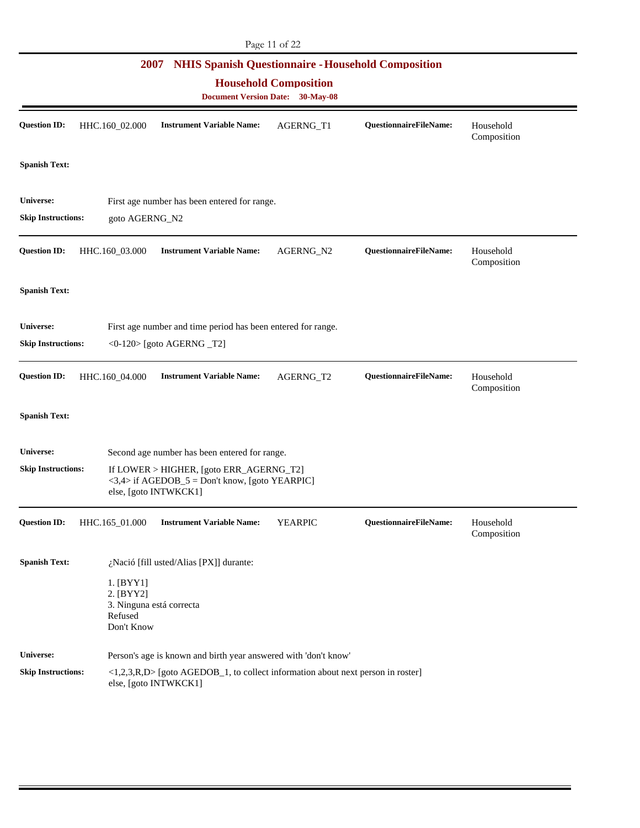| Page 11 of 22                                                                                                                                   |                                                                                                              |                                                                                                                       |                |                        |                          |  |  |  |
|-------------------------------------------------------------------------------------------------------------------------------------------------|--------------------------------------------------------------------------------------------------------------|-----------------------------------------------------------------------------------------------------------------------|----------------|------------------------|--------------------------|--|--|--|
| <b>NHIS Spanish Questionnaire - Household Composition</b><br>2007<br><b>Household Composition</b><br><b>Document Version Date:</b><br>30-May-08 |                                                                                                              |                                                                                                                       |                |                        |                          |  |  |  |
| <b>Question ID:</b>                                                                                                                             | HHC.160_02.000                                                                                               | <b>Instrument Variable Name:</b>                                                                                      | AGERNG_T1      | QuestionnaireFileName: | Household<br>Composition |  |  |  |
| <b>Spanish Text:</b>                                                                                                                            |                                                                                                              |                                                                                                                       |                |                        |                          |  |  |  |
| Universe:<br><b>Skip Instructions:</b>                                                                                                          | goto AGERNG_N2                                                                                               | First age number has been entered for range.                                                                          |                |                        |                          |  |  |  |
| <b>Question ID:</b>                                                                                                                             | HHC.160_03.000                                                                                               | <b>Instrument Variable Name:</b>                                                                                      | AGERNG_N2      | QuestionnaireFileName: | Household<br>Composition |  |  |  |
| <b>Spanish Text:</b>                                                                                                                            |                                                                                                              |                                                                                                                       |                |                        |                          |  |  |  |
| Universe:<br><b>Skip Instructions:</b>                                                                                                          | First age number and time period has been entered for range.<br>$\langle 0-120 \rangle$ [goto AGERNG $_T2$ ] |                                                                                                                       |                |                        |                          |  |  |  |
| <b>Question ID:</b>                                                                                                                             | HHC.160_04.000                                                                                               | <b>Instrument Variable Name:</b>                                                                                      | AGERNG_T2      | QuestionnaireFileName: | Household<br>Composition |  |  |  |
| <b>Spanish Text:</b>                                                                                                                            |                                                                                                              |                                                                                                                       |                |                        |                          |  |  |  |
| Universe:                                                                                                                                       |                                                                                                              | Second age number has been entered for range.                                                                         |                |                        |                          |  |  |  |
| <b>Skip Instructions:</b>                                                                                                                       |                                                                                                              | If LOWER > HIGHER, [goto ERR_AGERNG_T2]<br>$<$ 3,4> if AGEDOB_5 = Don't know, [goto YEARPIC]<br>else, [goto INTWKCK1] |                |                        |                          |  |  |  |
| <b>Question ID:</b>                                                                                                                             | HHC.165_01.000                                                                                               | <b>Instrument Variable Name:</b>                                                                                      | <b>YEARPIC</b> | QuestionnaireFileName: | Household<br>Composition |  |  |  |
| <b>Spanish Text:</b>                                                                                                                            |                                                                                                              | $_{i}$ Nació [fill usted/Alias [PX]] durante:                                                                         |                |                        |                          |  |  |  |
|                                                                                                                                                 | $1.$ [BYY1]<br>2. [BYY2]<br>3. Ninguna está correcta<br>Refused<br>Don't Know                                |                                                                                                                       |                |                        |                          |  |  |  |
| Universe:                                                                                                                                       |                                                                                                              | Person's age is known and birth year answered with 'don't know'                                                       |                |                        |                          |  |  |  |
| <b>Skip Instructions:</b>                                                                                                                       |                                                                                                              | <1,2,3,R,D> [goto AGEDOB_1, to collect information about next person in roster]<br>else, [goto INTWKCK1]              |                |                        |                          |  |  |  |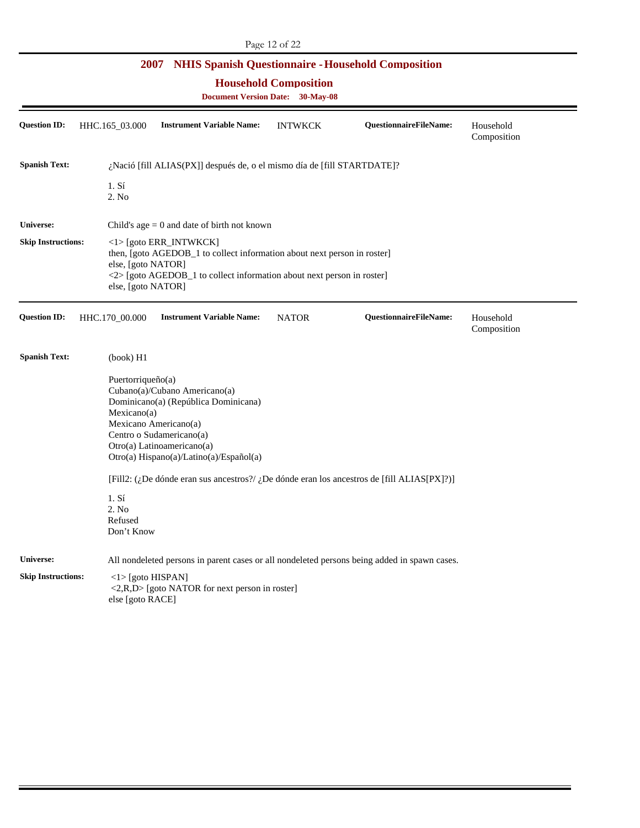**Household Composition** 

| <b>Question ID:</b>                           | HHC.165_03.000 |                                                                                         | <b>Instrument Variable Name:</b>                                                                                                                                                                    | <b>INTWKCK</b> | <b>QuestionnaireFileName:</b>                                                                | Household<br>Composition |
|-----------------------------------------------|----------------|-----------------------------------------------------------------------------------------|-----------------------------------------------------------------------------------------------------------------------------------------------------------------------------------------------------|----------------|----------------------------------------------------------------------------------------------|--------------------------|
| <b>Spanish Text:</b>                          |                |                                                                                         | ¿Nació [fill ALIAS(PX]] después de, o el mismo día de [fill STARTDATE]?                                                                                                                             |                |                                                                                              |                          |
|                                               |                | 1. S <sub>1</sub><br>2. No                                                              |                                                                                                                                                                                                     |                |                                                                                              |                          |
| <b>Universe:</b>                              |                |                                                                                         | Child's age $= 0$ and date of birth not known                                                                                                                                                       |                |                                                                                              |                          |
| <b>Skip Instructions:</b>                     |                | else, [goto NATOR]<br>else, [goto NATOR]                                                | $\langle$ 1> [goto ERR_INTWKCK]<br>then, [goto AGEDOB_1 to collect information about next person in roster]<br><2> [goto AGEDOB_1 to collect information about next person in roster]               |                |                                                                                              |                          |
| <b>Question ID:</b>                           | HHC.170_00.000 |                                                                                         | <b>Instrument Variable Name:</b>                                                                                                                                                                    | <b>NATOR</b>   | <b>QuestionnaireFileName:</b>                                                                | Household<br>Composition |
| <b>Spanish Text:</b>                          |                | (book) H1                                                                               |                                                                                                                                                                                                     |                |                                                                                              |                          |
|                                               |                | Puertorriqueño(a)<br>Mexicano(a)<br>1. S <sub>i</sub><br>2. No<br>Refused<br>Don't Know | Cubano(a)/Cubano Americano(a)<br>Dominicano(a) (República Dominicana)<br>Mexicano Americano(a)<br>Centro o Sudamericano(a)<br>Otro(a) Latinoamericano(a)<br>Otro(a) Hispano(a)/Latino(a)/Español(a) |                | [Fill2: (¿De dónde eran sus ancestros?/ ¿De dónde eran los ancestros de [fill ALIAS[PX]?)]   |                          |
| <b>Universe:</b><br><b>Skip Instructions:</b> |                | $\langle$ 1> [goto HISPAN]<br>else [goto RACE]                                          | $\langle 2,R,D \rangle$ [goto NATOR for next person in roster]                                                                                                                                      |                | All nondeleted persons in parent cases or all nondeleted persons being added in spawn cases. |                          |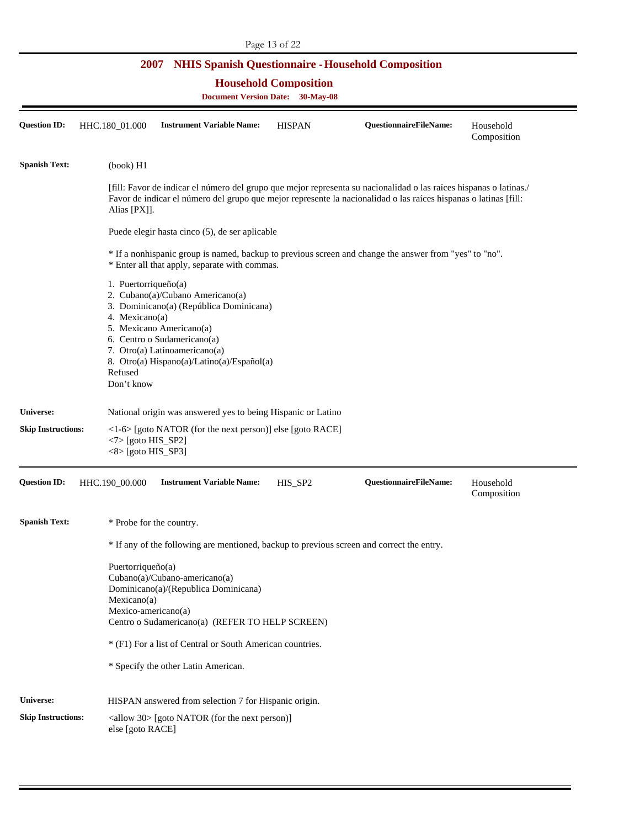|  |  |  | 2007 NHIS Spanish Questionnaire - Household Composition |
|--|--|--|---------------------------------------------------------|
|--|--|--|---------------------------------------------------------|

[fill: Favor de indicar el número del grupo que mejor representa su nacionalidad o las raíces hispanas o latinas./ **Universe:** National origin was answered yes to being Hispanic or Latino \* If any of the following are mentioned, backup to previous screen and correct the entry. Centro o Sudamericano(a) (REFER TO HELP SCREEN) **Household Composition Document Version Date: 30-May-08 Question ID:** HHC.180\_01.000 **Instrument Variable Name:** HISPAN **QuestionnaireFileName:** Household Composition **Spanish Text:** (book) H1 Favor de indicar el número del grupo que mejor represente la nacionalidad o las raíces hispanas o latinas [fill: Alias [PX]]. Puede elegir hasta cinco (5), de ser aplicable \* If a nonhispanic group is named, backup to previous screen and change the answer from "yes" to "no". \* Enter all that apply, separate with commas. 1. Puertorriqueño(a) 2. Cubano(a)/Cubano Americano(a) 3. Dominicano(a) (República Dominicana) 4. Mexicano(a) 5. Mexicano Americano(a) 6. Centro o Sudamericano(a) 7. Otro(a) Latinoamericano(a) 8. Otro(a) Hispano(a)/Latino(a)/Español(a) Refused Don't know **Skip Instructions:** <1-6> [goto NATOR (for the next person)] else [goto RACE]  $<7$  [goto HIS\_SP2] <8> [goto HIS\_SP3] **Question ID:** HHC.190\_00.000 **Instrument Variable Name:** HIS\_SP2 **QuestionnaireFileName:** Household Composition **Spanish Text:**  $*$  Probe for the country. Puertorriqueño(a) Cubano(a)/Cubano-americano(a) Dominicano(a)/(Republica Dominicana) Mexicano(a) Mexico-americano(a) \* (F1) For a list of Central or South American countries. \* Specify the other Latin American.

**Skip Instructions: Universe:**  <allow 30> [goto NATOR (for the next person)] HISPAN answered from selection 7 for Hispanic origin.

else [goto RACE]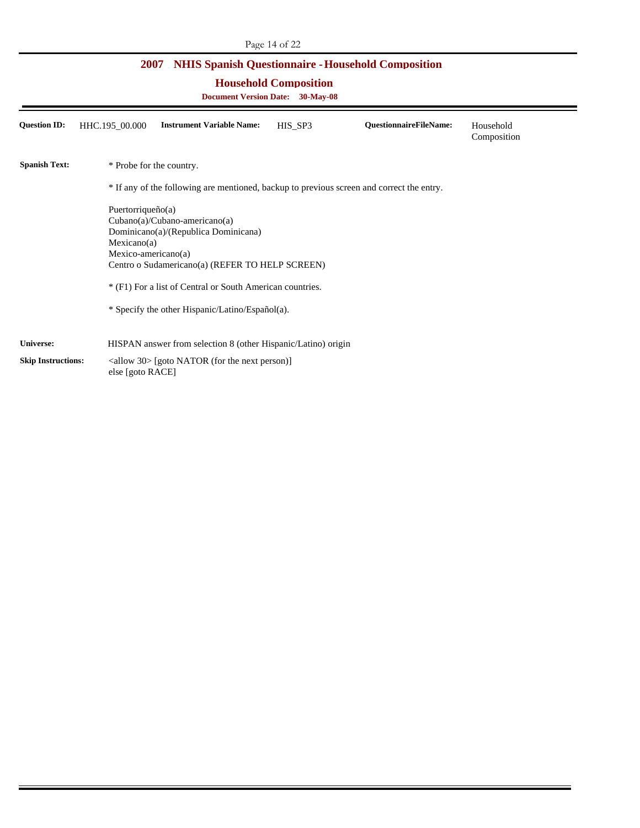| <b>NHIS Spanish Questionnaire - Household Composition</b><br><b>2007</b><br><b>Household Composition</b><br><b>Document Version Date: 30-May-08</b> |                                                                                                                                                                                                                                                                                                          |                                                                                           |  |  |  |  |  |
|-----------------------------------------------------------------------------------------------------------------------------------------------------|----------------------------------------------------------------------------------------------------------------------------------------------------------------------------------------------------------------------------------------------------------------------------------------------------------|-------------------------------------------------------------------------------------------|--|--|--|--|--|
|                                                                                                                                                     |                                                                                                                                                                                                                                                                                                          |                                                                                           |  |  |  |  |  |
| <b>Spanish Text:</b>                                                                                                                                | * Probe for the country.                                                                                                                                                                                                                                                                                 |                                                                                           |  |  |  |  |  |
|                                                                                                                                                     |                                                                                                                                                                                                                                                                                                          | * If any of the following are mentioned, backup to previous screen and correct the entry. |  |  |  |  |  |
|                                                                                                                                                     | Puertorriqueño $(a)$<br>$Cubano(a)/Cubano-americano(a)$<br>Dominicano(a)/(Republica Dominicana)<br>Mexicano(a)<br>Mexico-americano(a)<br>Centro o Sudamericano(a) (REFER TO HELP SCREEN)<br>* (F1) For a list of Central or South American countries.<br>* Specify the other Hispanic/Latino/Español(a). |                                                                                           |  |  |  |  |  |
| <b>Universe:</b>                                                                                                                                    |                                                                                                                                                                                                                                                                                                          | HISPAN answer from selection 8 (other Hispanic/Latino) origin                             |  |  |  |  |  |
| <b>Skip Instructions:</b>                                                                                                                           | else [goto RACE]                                                                                                                                                                                                                                                                                         | $\langle$ allow 30> [goto NATOR (for the next person)]                                    |  |  |  |  |  |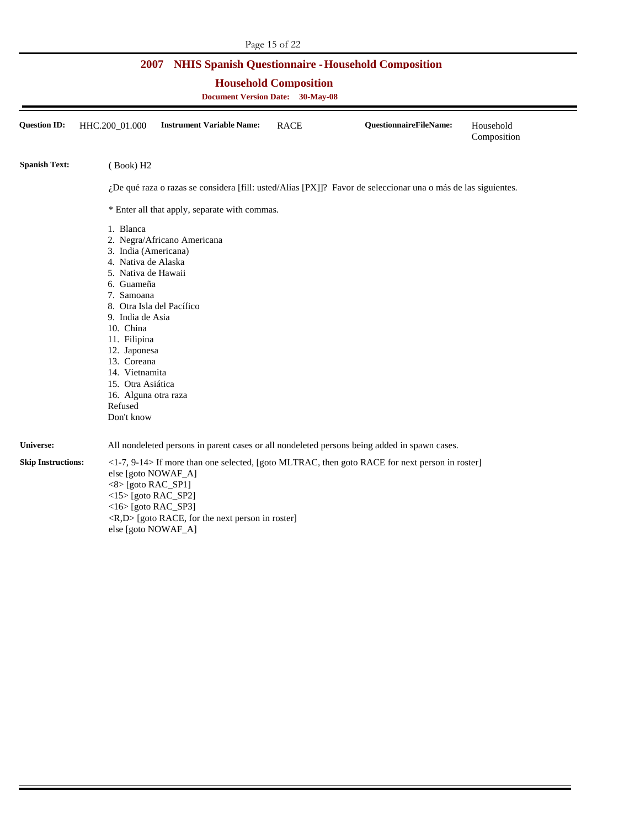| <b>NHIS Spanish Questionnaire - Household Composition</b><br>2007<br><b>Household Composition</b><br><b>Document Version Date: 30-May-08</b> |                                                                                                                                                                                                                                                                                                                                                 |                                                                  |             |                                                                                                                 |                          |  |  |
|----------------------------------------------------------------------------------------------------------------------------------------------|-------------------------------------------------------------------------------------------------------------------------------------------------------------------------------------------------------------------------------------------------------------------------------------------------------------------------------------------------|------------------------------------------------------------------|-------------|-----------------------------------------------------------------------------------------------------------------|--------------------------|--|--|
| <b>Question ID:</b>                                                                                                                          | HHC.200_01.000                                                                                                                                                                                                                                                                                                                                  | <b>Instrument Variable Name:</b>                                 | <b>RACE</b> | <b>QuestionnaireFileName:</b>                                                                                   | Household<br>Composition |  |  |
| <b>Spanish Text:</b>                                                                                                                         | (Book) H <sub>2</sub>                                                                                                                                                                                                                                                                                                                           |                                                                  |             |                                                                                                                 |                          |  |  |
|                                                                                                                                              | ¿De qué raza o razas se considera [fill: usted/Alias [PX]]? Favor de seleccionar una o más de las siguientes.                                                                                                                                                                                                                                   |                                                                  |             |                                                                                                                 |                          |  |  |
|                                                                                                                                              |                                                                                                                                                                                                                                                                                                                                                 | * Enter all that apply, separate with commas.                    |             |                                                                                                                 |                          |  |  |
|                                                                                                                                              | 1. Blanca<br>2. Negra/Africano Americana<br>3. India (Americana)<br>4. Nativa de Alaska<br>5. Nativa de Hawaii<br>6. Guameña<br>7. Samoana<br>8. Otra Isla del Pacífico<br>9. India de Asia<br>10. China<br>11. Filipina<br>12. Japonesa<br>13. Coreana<br>14. Vietnamita<br>15. Otra Asiática<br>16. Alguna otra raza<br>Refused<br>Don't know |                                                                  |             |                                                                                                                 |                          |  |  |
| Universe:                                                                                                                                    |                                                                                                                                                                                                                                                                                                                                                 |                                                                  |             | All nondeleted persons in parent cases or all nondeleted persons being added in spawn cases.                    |                          |  |  |
| <b>Skip Instructions:</b>                                                                                                                    | else [goto NOWAF_A]<br>$<8$ [goto RAC_SP1]<br>$<$ 15> [goto RAC_SP2]<br>$<$ 16> [goto RAC_SP3]<br>else [goto NOWAF_A]                                                                                                                                                                                                                           | $\langle R,D \rangle$ [goto RACE, for the next person in roster] |             | $\langle -1-7, 9-14 \rangle$ If more than one selected, [goto MLTRAC, then goto RACE for next person in roster] |                          |  |  |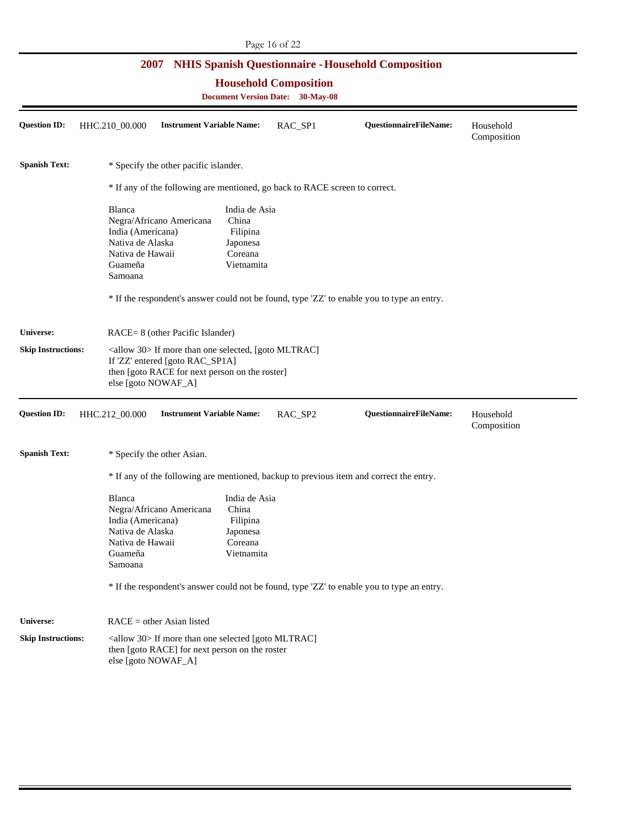| Page 16 of 22             |                                                                                                                                                                               |                                                                                                                                                                                                   |                                         |                        |                          |  |  |
|---------------------------|-------------------------------------------------------------------------------------------------------------------------------------------------------------------------------|---------------------------------------------------------------------------------------------------------------------------------------------------------------------------------------------------|-----------------------------------------|------------------------|--------------------------|--|--|
|                           |                                                                                                                                                                               | 2007 NHIS Spanish Questionnaire - Household Composition                                                                                                                                           |                                         |                        |                          |  |  |
|                           |                                                                                                                                                                               |                                                                                                                                                                                                   | <b>Household Composition</b>            |                        |                          |  |  |
|                           |                                                                                                                                                                               |                                                                                                                                                                                                   | <b>Document Version Date: 30-May-08</b> |                        |                          |  |  |
| <b>Question ID:</b>       | HHC.210_00.000                                                                                                                                                                | <b>Instrument Variable Name:</b>                                                                                                                                                                  | RAC_SP1                                 | QuestionnaireFileName: | Household<br>Composition |  |  |
| <b>Spanish Text:</b>      |                                                                                                                                                                               | * Specify the other pacific islander.                                                                                                                                                             |                                         |                        |                          |  |  |
|                           |                                                                                                                                                                               | * If any of the following are mentioned, go back to RACE screen to correct.                                                                                                                       |                                         |                        |                          |  |  |
|                           | Blanca<br>India (Americana)<br>Nativa de Alaska<br>Nativa de Hawaii<br>Guameña<br>Samoana                                                                                     | India de Asia<br>Negra/Africano Americana<br>China<br>Filipina<br>Japonesa<br>Coreana<br>Vietnamita<br>* If the respondent's answer could not be found, type 'ZZ' to enable you to type an entry. |                                         |                        |                          |  |  |
| <b>Universe:</b>          |                                                                                                                                                                               | RACE= 8 (other Pacific Islander)                                                                                                                                                                  |                                         |                        |                          |  |  |
| <b>Skip Instructions:</b> | <allow 30=""> If more than one selected, [goto MLTRAC]<br/>If 'ZZ' entered [goto RAC_SP1A]<br/>then [goto RACE for next person on the roster]<br/>else [goto NOWAF_A]</allow> |                                                                                                                                                                                                   |                                         |                        |                          |  |  |
| <b>Question ID:</b>       | HHC.212_00.000                                                                                                                                                                | <b>Instrument Variable Name:</b>                                                                                                                                                                  | RAC_SP2                                 | QuestionnaireFileName: | Household<br>Composition |  |  |
| <b>Spanish Text:</b>      |                                                                                                                                                                               | * Specify the other Asian.                                                                                                                                                                        |                                         |                        |                          |  |  |
|                           |                                                                                                                                                                               | * If any of the following are mentioned, backup to previous item and correct the entry.                                                                                                           |                                         |                        |                          |  |  |
|                           | Blanca<br>India (Americana)<br>Nativa de Alaska<br>Nativa de Hawaii<br>Guameña<br>Samoana                                                                                     | India de Asia<br>Negra/Africano Americana<br>China<br>Filipina<br>Japonesa<br>Coreana<br>Vietnamita<br>* If the respondent's answer could not be found, type 'ZZ' to enable you to type an entry. |                                         |                        |                          |  |  |
| Universe:                 |                                                                                                                                                                               |                                                                                                                                                                                                   |                                         |                        |                          |  |  |
| <b>Skip Instructions:</b> | $RACE = other Asian listed$<br><allow 30=""> If more than one selected [goto MLTRAC]<br/>then [goto RACE] for next person on the roster<br/>else [goto NOWAF_A]</allow>       |                                                                                                                                                                                                   |                                         |                        |                          |  |  |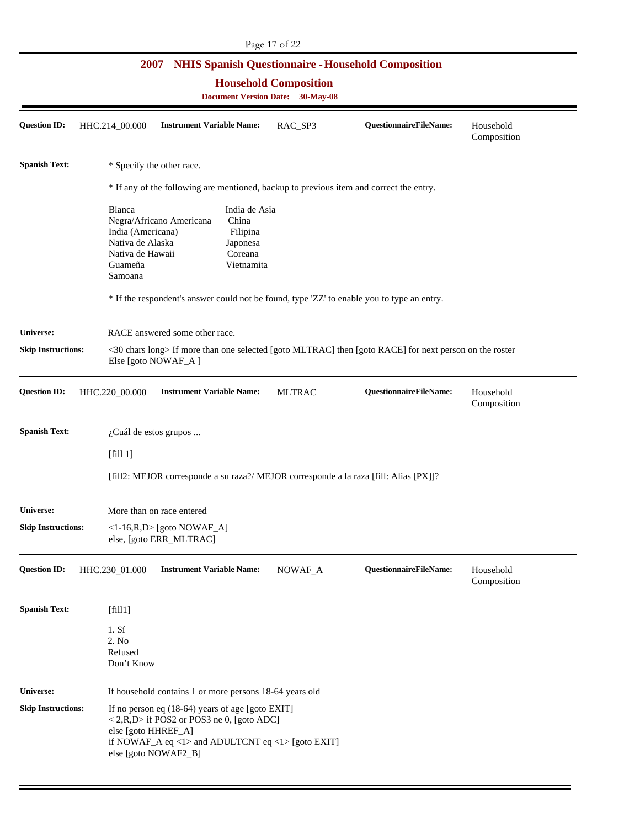| Page 17 of 22                                                           |                                                                                                                                                                  |                                                                                                                                                                     |               |                                                                                            |                          |  |  |
|-------------------------------------------------------------------------|------------------------------------------------------------------------------------------------------------------------------------------------------------------|---------------------------------------------------------------------------------------------------------------------------------------------------------------------|---------------|--------------------------------------------------------------------------------------------|--------------------------|--|--|
|                                                                         | 2007                                                                                                                                                             |                                                                                                                                                                     |               | <b>NHIS Spanish Questionnaire - Household Composition</b>                                  |                          |  |  |
| <b>Household Composition</b><br><b>Document Version Date: 30-May-08</b> |                                                                                                                                                                  |                                                                                                                                                                     |               |                                                                                            |                          |  |  |
|                                                                         |                                                                                                                                                                  |                                                                                                                                                                     |               |                                                                                            |                          |  |  |
| <b>Question ID:</b>                                                     | HHC.214_00.000                                                                                                                                                   | <b>Instrument Variable Name:</b>                                                                                                                                    | RAC_SP3       | QuestionnaireFileName:                                                                     | Household<br>Composition |  |  |
| <b>Spanish Text:</b>                                                    | * Specify the other race.                                                                                                                                        |                                                                                                                                                                     |               |                                                                                            |                          |  |  |
|                                                                         | * If any of the following are mentioned, backup to previous item and correct the entry.                                                                          |                                                                                                                                                                     |               |                                                                                            |                          |  |  |
|                                                                         | Blanca<br>Negra/Africano Americana<br>India (Americana)<br>Nativa de Alaska<br>Nativa de Hawaii<br>Guameña<br>Samoana                                            | India de Asia<br>China<br>Filipina<br>Japonesa<br>Coreana<br>Vietnamita                                                                                             |               | * If the respondent's answer could not be found, type 'ZZ' to enable you to type an entry. |                          |  |  |
| Universe:                                                               |                                                                                                                                                                  |                                                                                                                                                                     |               |                                                                                            |                          |  |  |
| <b>Skip Instructions:</b>                                               | RACE answered some other race.<br><30 chars long> If more than one selected [goto MLTRAC] then [goto RACE] for next person on the roster<br>Else [goto NOWAF_A ] |                                                                                                                                                                     |               |                                                                                            |                          |  |  |
| <b>Question ID:</b>                                                     | HHC.220_00.000                                                                                                                                                   | <b>Instrument Variable Name:</b>                                                                                                                                    | <b>MLTRAC</b> | QuestionnaireFileName:                                                                     | Household<br>Composition |  |  |
| <b>Spanish Text:</b>                                                    | ¿Cuál de estos grupos                                                                                                                                            |                                                                                                                                                                     |               |                                                                                            |                          |  |  |
|                                                                         | [fill 1]                                                                                                                                                         |                                                                                                                                                                     |               |                                                                                            |                          |  |  |
|                                                                         |                                                                                                                                                                  |                                                                                                                                                                     |               | [fill2: MEJOR corresponde a su raza?/ MEJOR corresponde a la raza [fill: Alias [PX]]?      |                          |  |  |
| Universe:                                                               | More than on race entered                                                                                                                                        |                                                                                                                                                                     |               |                                                                                            |                          |  |  |
| <b>Skip Instructions:</b>                                               | $\langle -1-16, R, D \rangle$ [goto NOWAF_A]<br>else, [goto ERR_MLTRAC]                                                                                          |                                                                                                                                                                     |               |                                                                                            |                          |  |  |
| <b>Question ID:</b>                                                     | HHC.230_01.000                                                                                                                                                   | <b>Instrument Variable Name:</b>                                                                                                                                    | NOWAF_A       | QuestionnaireFileName:                                                                     | Household<br>Composition |  |  |
| <b>Spanish Text:</b>                                                    | [fill]                                                                                                                                                           |                                                                                                                                                                     |               |                                                                                            |                          |  |  |
|                                                                         | 1. S <sub>i</sub><br>2. No<br>Refused<br>Don't Know                                                                                                              |                                                                                                                                                                     |               |                                                                                            |                          |  |  |
| <b>Universe:</b>                                                        |                                                                                                                                                                  | If household contains 1 or more persons 18-64 years old                                                                                                             |               |                                                                                            |                          |  |  |
| <b>Skip Instructions:</b>                                               | else [goto HHREF_A]<br>else [goto NOWAF2_B]                                                                                                                      | If no person eq $(18-64)$ years of age [goto EXIT]<br>$\langle 2,R,D \rangle$ if POS2 or POS3 ne 0, [goto ADC]<br>if NOWAF_A eq <1> and ADULTCNT eq <1> [goto EXIT] |               |                                                                                            |                          |  |  |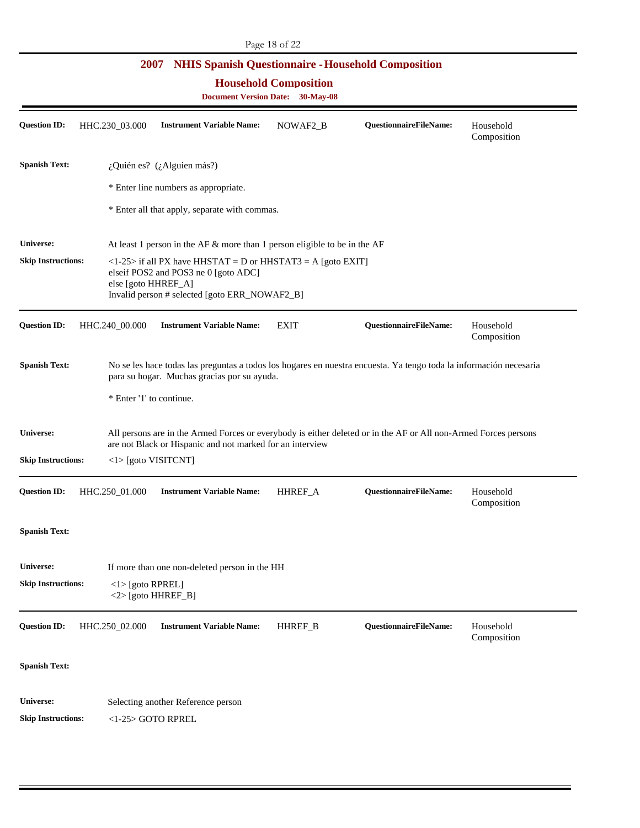|                                                                              |                                                                                                                                                                                      | 2007 NHIS Spanish Questionnaire - Household Composition                      |             |                                                                                                                 |                          |  |
|------------------------------------------------------------------------------|--------------------------------------------------------------------------------------------------------------------------------------------------------------------------------------|------------------------------------------------------------------------------|-------------|-----------------------------------------------------------------------------------------------------------------|--------------------------|--|
| <b>Household Composition</b><br><b>Document Version Date:</b><br>$30-May-08$ |                                                                                                                                                                                      |                                                                              |             |                                                                                                                 |                          |  |
| <b>Question ID:</b>                                                          | HHC.230_03.000                                                                                                                                                                       | <b>Instrument Variable Name:</b>                                             | NOWAF2_B    | QuestionnaireFileName:                                                                                          | Household<br>Composition |  |
| <b>Spanish Text:</b>                                                         |                                                                                                                                                                                      | ¿Quién es? (¿Alguien más?)                                                   |             |                                                                                                                 |                          |  |
|                                                                              |                                                                                                                                                                                      | * Enter line numbers as appropriate.                                         |             |                                                                                                                 |                          |  |
|                                                                              |                                                                                                                                                                                      | * Enter all that apply, separate with commas.                                |             |                                                                                                                 |                          |  |
| <b>Universe:</b>                                                             |                                                                                                                                                                                      | At least 1 person in the AF $\&$ more than 1 person eligible to be in the AF |             |                                                                                                                 |                          |  |
| <b>Skip Instructions:</b>                                                    | $\langle$ 1-25> if all PX have HHSTAT = D or HHSTAT3 = A [goto EXIT]<br>elseif POS2 and POS3 ne 0 [goto ADC]<br>else [goto HHREF_A]<br>Invalid person # selected [goto ERR_NOWAF2_B] |                                                                              |             |                                                                                                                 |                          |  |
| <b>Question ID:</b>                                                          | HHC.240_00.000                                                                                                                                                                       | <b>Instrument Variable Name:</b>                                             | <b>EXIT</b> | QuestionnaireFileName:                                                                                          | Household<br>Composition |  |
| <b>Spanish Text:</b>                                                         | No se les hace todas las preguntas a todos los hogares en nuestra encuesta. Ya tengo toda la información necesaria<br>para su hogar. Muchas gracias por su ayuda.                    |                                                                              |             |                                                                                                                 |                          |  |
|                                                                              | * Enter '1' to continue.                                                                                                                                                             |                                                                              |             |                                                                                                                 |                          |  |
| Universe:                                                                    |                                                                                                                                                                                      | are not Black or Hispanic and not marked for an interview                    |             | All persons are in the Armed Forces or everybody is either deleted or in the AF or All non-Armed Forces persons |                          |  |
| <b>Skip Instructions:</b>                                                    | $\langle$ 1> [goto VISITCNT]                                                                                                                                                         |                                                                              |             |                                                                                                                 |                          |  |
| Question ID:                                                                 | HHC.250_01.000                                                                                                                                                                       | <b>Instrument Variable Name:</b>                                             | HHREF_A     | <b>QuestionnaireFileName:</b>                                                                                   | Household<br>Composition |  |
| <b>Spanish Text:</b>                                                         |                                                                                                                                                                                      |                                                                              |             |                                                                                                                 |                          |  |
| <b>Universe:</b>                                                             |                                                                                                                                                                                      | If more than one non-deleted person in the HH                                |             |                                                                                                                 |                          |  |
| <b>Skip Instructions:</b>                                                    | $\langle$ 1> [goto RPREL]<br>$<$ 2> [goto HHREF_B]                                                                                                                                   |                                                                              |             |                                                                                                                 |                          |  |
| Question ID:                                                                 | HHC.250_02.000                                                                                                                                                                       | <b>Instrument Variable Name:</b>                                             | HHREF_B     | QuestionnaireFileName:                                                                                          | Household<br>Composition |  |
| <b>Spanish Text:</b>                                                         |                                                                                                                                                                                      |                                                                              |             |                                                                                                                 |                          |  |
| <b>Universe:</b>                                                             |                                                                                                                                                                                      | Selecting another Reference person                                           |             |                                                                                                                 |                          |  |
| <b>Skip Instructions:</b>                                                    | <1-25> GOTO RPREL                                                                                                                                                                    |                                                                              |             |                                                                                                                 |                          |  |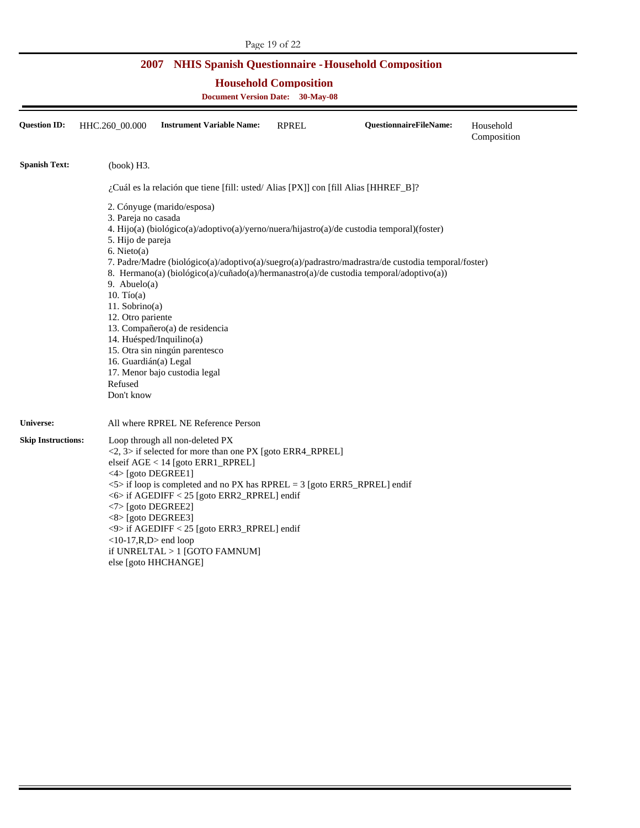|                                                                                                                                                 | Page 19 of 22                                                                                                                                                                              |                                                                                                                                                                                                                                                                                                                                                                   |              |                                                                                                                                                                                                                                                                                             |                          |  |  |
|-------------------------------------------------------------------------------------------------------------------------------------------------|--------------------------------------------------------------------------------------------------------------------------------------------------------------------------------------------|-------------------------------------------------------------------------------------------------------------------------------------------------------------------------------------------------------------------------------------------------------------------------------------------------------------------------------------------------------------------|--------------|---------------------------------------------------------------------------------------------------------------------------------------------------------------------------------------------------------------------------------------------------------------------------------------------|--------------------------|--|--|
| <b>NHIS Spanish Questionnaire - Household Composition</b><br>2007<br><b>Household Composition</b><br><b>Document Version Date:</b><br>30-May-08 |                                                                                                                                                                                            |                                                                                                                                                                                                                                                                                                                                                                   |              |                                                                                                                                                                                                                                                                                             |                          |  |  |
| <b>Question ID:</b>                                                                                                                             | HHC.260 00.000                                                                                                                                                                             | <b>Instrument Variable Name:</b>                                                                                                                                                                                                                                                                                                                                  | <b>RPREL</b> | <b>QuestionnaireFileName:</b>                                                                                                                                                                                                                                                               | Household<br>Composition |  |  |
| <b>Spanish Text:</b>                                                                                                                            | (book) H3.                                                                                                                                                                                 |                                                                                                                                                                                                                                                                                                                                                                   |              |                                                                                                                                                                                                                                                                                             |                          |  |  |
|                                                                                                                                                 |                                                                                                                                                                                            | ¿Cuál es la relación que tiene [fill: usted/Alias [PX]] con [fill Alias [HHREF_B]?                                                                                                                                                                                                                                                                                |              |                                                                                                                                                                                                                                                                                             |                          |  |  |
|                                                                                                                                                 | 3. Pareja no casada<br>5. Hijo de pareja<br>$6.$ Nieto(a)<br>9. Abuelo $(a)$<br>$10.$ Tío $(a)$<br>$11.$ Sobrino(a)<br>12. Otro pariente<br>16. Guardián(a) Legal<br>Refused<br>Don't know | 2. Cónyuge (marido/esposa)<br>13. Compañero(a) de residencia<br>14. Huésped/Inquilino(a)<br>15. Otra sin ningún parentesco<br>17. Menor bajo custodia legal                                                                                                                                                                                                       |              | 4. Hijo(a) (biológico(a)/adoptivo(a)/yerno/nuera/hijastro(a)/de custodia temporal)(foster)<br>7. Padre/Madre (biológico(a)/adoptivo(a)/suegro(a)/padrastro/madrastra/de custodia temporal/foster)<br>8. Hermano(a) (biológico(a)/cuñado(a)/hermanastro(a)/de custodia temporal/adoptivo(a)) |                          |  |  |
| <b>Universe:</b>                                                                                                                                |                                                                                                                                                                                            | All where RPREL NE Reference Person                                                                                                                                                                                                                                                                                                                               |              |                                                                                                                                                                                                                                                                                             |                          |  |  |
| <b>Skip Instructions:</b>                                                                                                                       | <4> [goto DEGREE1]<br><7> [goto DEGREE2]<br>$\langle 8 \rangle$ [goto DEGREE3]<br>$<$ 10-17, R, D $>$ end loop                                                                             | Loop through all non-deleted PX<br>$\langle 2, 3 \rangle$ if selected for more than one PX [goto ERR4_RPREL]<br>elseif $AGE < 14$ [goto $ERR1$ RPREL]<br>$5$ if loop is completed and no PX has RPREL = 3 [goto ERR5_RPREL] endif<br><6> if AGEDIFF < 25 [goto ERR2_RPREL] endif<br><9> if AGEDIFF < 25 [goto ERR3_RPREL] endif<br>if UNRELTAL $>1$ [GOTO FAMNUM] |              |                                                                                                                                                                                                                                                                                             |                          |  |  |

else [goto HHCHANGE]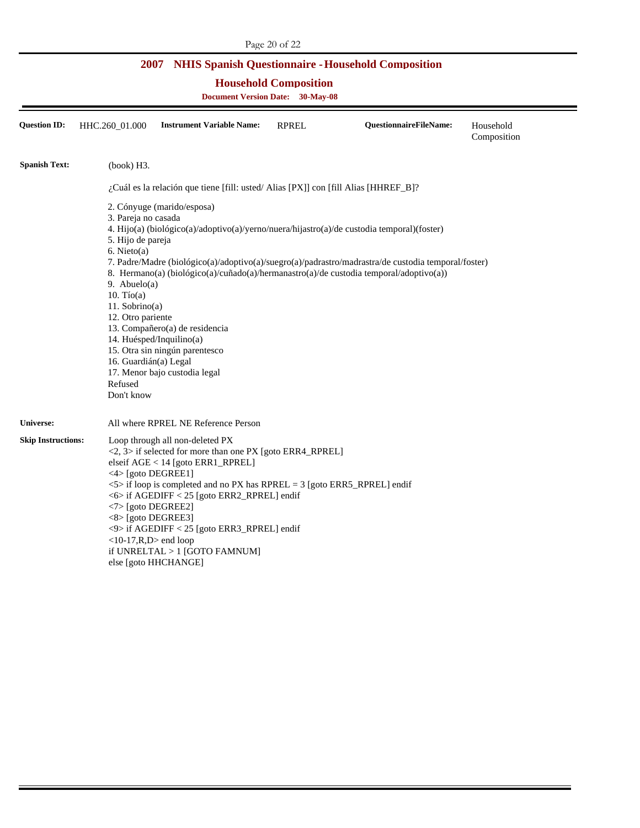| Page 20 of 22                                                     |                                                                         |                                                                                    |              |                                                                                                     |                          |  |  |  |
|-------------------------------------------------------------------|-------------------------------------------------------------------------|------------------------------------------------------------------------------------|--------------|-----------------------------------------------------------------------------------------------------|--------------------------|--|--|--|
| <b>NHIS Spanish Questionnaire - Household Composition</b><br>2007 |                                                                         |                                                                                    |              |                                                                                                     |                          |  |  |  |
|                                                                   | <b>Household Composition</b><br><b>Document Version Date: 30-May-08</b> |                                                                                    |              |                                                                                                     |                          |  |  |  |
| <b>Question ID:</b>                                               | HHC.260_01.000                                                          | <b>Instrument Variable Name:</b>                                                   | <b>RPREL</b> | <b>QuestionnaireFileName:</b>                                                                       | Household<br>Composition |  |  |  |
| <b>Spanish Text:</b>                                              | (book) H3.                                                              |                                                                                    |              |                                                                                                     |                          |  |  |  |
|                                                                   |                                                                         | ¿Cuál es la relación que tiene [fill: usted/Alias [PX]] con [fill Alias [HHREF_B]? |              |                                                                                                     |                          |  |  |  |
|                                                                   |                                                                         | 2. Cónyuge (marido/esposa)                                                         |              |                                                                                                     |                          |  |  |  |
|                                                                   | 3. Pareja no casada                                                     |                                                                                    |              |                                                                                                     |                          |  |  |  |
|                                                                   |                                                                         |                                                                                    |              | 4. Hijo(a) (biológico(a)/adoptivo(a)/yerno/nuera/hijastro(a)/de custodia temporal)(foster)          |                          |  |  |  |
|                                                                   | 5. Hijo de pareja<br>$6.$ Nieto(a)                                      |                                                                                    |              |                                                                                                     |                          |  |  |  |
|                                                                   |                                                                         |                                                                                    |              | 7. Padre/Madre (biológico(a)/adoptivo(a)/suegro(a)/padrastro/madrastra/de custodia temporal/foster) |                          |  |  |  |
|                                                                   |                                                                         |                                                                                    |              | 8. Hermano(a) (biológico(a)/cuñado(a)/hermanastro(a)/de custodia temporal/adoptivo(a))              |                          |  |  |  |
|                                                                   | 9. Abuelo $(a)$                                                         |                                                                                    |              |                                                                                                     |                          |  |  |  |
|                                                                   | $10.$ Tío(a)<br>$11.$ Sobrino $(a)$                                     |                                                                                    |              |                                                                                                     |                          |  |  |  |
|                                                                   | 12. Otro pariente                                                       |                                                                                    |              |                                                                                                     |                          |  |  |  |
|                                                                   |                                                                         | 13. Compañero(a) de residencia                                                     |              |                                                                                                     |                          |  |  |  |
|                                                                   | 14. Huésped/Inquilino(a)                                                |                                                                                    |              |                                                                                                     |                          |  |  |  |
|                                                                   |                                                                         | 15. Otra sin ningún parentesco                                                     |              |                                                                                                     |                          |  |  |  |
|                                                                   | 16. Guardián(a) Legal                                                   |                                                                                    |              |                                                                                                     |                          |  |  |  |
|                                                                   | Refused                                                                 | 17. Menor bajo custodia legal                                                      |              |                                                                                                     |                          |  |  |  |
|                                                                   | Don't know                                                              |                                                                                    |              |                                                                                                     |                          |  |  |  |
| Universe:                                                         |                                                                         | All where RPREL NE Reference Person                                                |              |                                                                                                     |                          |  |  |  |
| <b>Skip Instructions:</b>                                         |                                                                         | Loop through all non-deleted PX                                                    |              |                                                                                                     |                          |  |  |  |
|                                                                   |                                                                         | $\langle 2, 3 \rangle$ if selected for more than one PX [goto ERR4_RPREL]          |              |                                                                                                     |                          |  |  |  |
|                                                                   | <4> [goto DEGREE1]                                                      | elseif AGE < 14 [goto ERR1_RPREL]                                                  |              |                                                                                                     |                          |  |  |  |
|                                                                   |                                                                         | <5> if loop is completed and no PX has RPREL = 3 [goto ERR5_RPREL] endif           |              |                                                                                                     |                          |  |  |  |
|                                                                   |                                                                         | <6> if AGEDIFF < 25 [goto ERR2_RPREL] endif                                        |              |                                                                                                     |                          |  |  |  |
|                                                                   | <7>[goto DEGREE2]                                                       |                                                                                    |              |                                                                                                     |                          |  |  |  |
|                                                                   | $\langle 8 \rangle$ [goto DEGREE3]                                      |                                                                                    |              |                                                                                                     |                          |  |  |  |
|                                                                   |                                                                         | <9> if AGEDIFF < 25 [goto ERR3_RPREL] endif                                        |              |                                                                                                     |                          |  |  |  |
|                                                                   | $<$ 10-17, R, D $>$ end loop                                            | if UNRELTAL > 1 [GOTO FAMNUM]                                                      |              |                                                                                                     |                          |  |  |  |
|                                                                   |                                                                         | else [goto HHCHANGE]                                                               |              |                                                                                                     |                          |  |  |  |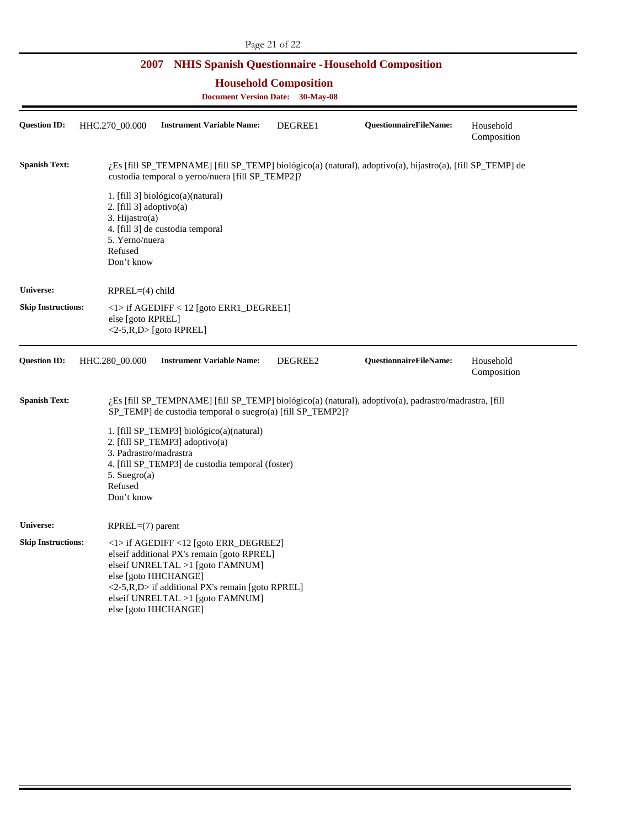**Household Composition** 

| <b>Question ID:</b>       | HHC.270_00.000                                                                          | <b>Instrument Variable Name:</b>                                                                                                                                                                                                                                                    | DEGREE1 | QuestionnaireFileName:                                                                                    | Household<br>Composition |
|---------------------------|-----------------------------------------------------------------------------------------|-------------------------------------------------------------------------------------------------------------------------------------------------------------------------------------------------------------------------------------------------------------------------------------|---------|-----------------------------------------------------------------------------------------------------------|--------------------------|
| <b>Spanish Text:</b>      |                                                                                         | custodia temporal o yerno/nuera [fill SP_TEMP2]?                                                                                                                                                                                                                                    |         | ¿Es [fill SP_TEMPNAME] [fill SP_TEMP] biológico(a) (natural), adoptivo(a), hijastro(a), [fill SP_TEMP] de |                          |
|                           | 2. [fill $3$ ] adoptivo(a)<br>3. Hijastro(a)<br>5. Yerno/nuera<br>Refused<br>Don't know | 1. [fill 3] biológico(a)(natural)<br>4. [fill 3] de custodia temporal                                                                                                                                                                                                               |         |                                                                                                           |                          |
| Universe:                 | RPREL=(4) child                                                                         |                                                                                                                                                                                                                                                                                     |         |                                                                                                           |                          |
| <b>Skip Instructions:</b> | else [goto RPREL]                                                                       | $\langle 1 \rangle$ if AGEDIFF $\langle 12 \rangle$ [goto ERR1_DEGREE1]<br>$\langle 2-5, R, D \rangle$ [goto RPREL]                                                                                                                                                                 |         |                                                                                                           |                          |
| <b>Question ID:</b>       | HHC.280 00.000                                                                          | <b>Instrument Variable Name:</b>                                                                                                                                                                                                                                                    | DEGREE2 | QuestionnaireFileName:                                                                                    | Household<br>Composition |
| <b>Spanish Text:</b>      |                                                                                         | SP_TEMP] de custodia temporal o suegro(a) [fill SP_TEMP2]?                                                                                                                                                                                                                          |         | ¿Es [fill SP_TEMPNAME] [fill SP_TEMP] biológico(a) (natural), adoptivo(a), padrastro/madrastra, [fill     |                          |
|                           | 3. Padrastro/madrastra<br>5. Suegro(a)<br>Refused<br>Don't know                         | 1. [fill SP_TEMP3] biológico(a)(natural)<br>2. [fill SP_TEMP3] adoptivo(a)<br>4. [fill SP_TEMP3] de custodia temporal (foster)                                                                                                                                                      |         |                                                                                                           |                          |
| <b>Universe:</b>          | $RPREL=(7)$ parent                                                                      |                                                                                                                                                                                                                                                                                     |         |                                                                                                           |                          |
| <b>Skip Instructions:</b> |                                                                                         | <1> if AGEDIFF <12 [goto ERR_DEGREE2]<br>elseif additional PX's remain [goto RPREL]<br>elseif UNRELTAL $>1$ [goto FAMNUM]<br>else [goto HHCHANGE]<br>$\langle 2-5, R, D \rangle$ if additional PX's remain [goto RPREL]<br>elseif UNRELTAL >1 [goto FAMNUM]<br>else [goto HHCHANGE] |         |                                                                                                           |                          |